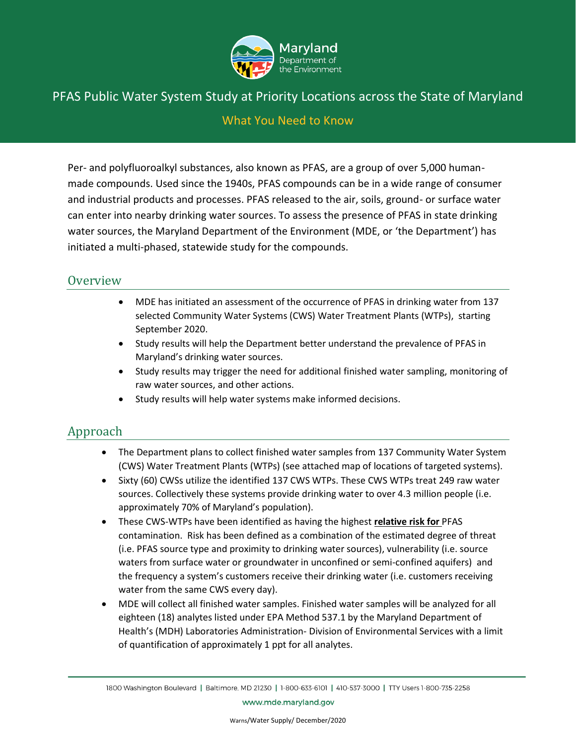

#### What You Need to Know

Per- and polyfluoroalkyl substances, also known as PFAS, are a group of over 5,000 humanmade compounds. Used since the 1940s, PFAS compounds can be in a wide range of consumer and industrial products and processes. PFAS released to the air, soils, ground- or surface water can enter into nearby drinking water sources. To assess the presence of PFAS in state drinking water sources, the Maryland Department of the Environment (MDE, or 'the Department') has initiated a multi-phased, statewide study for the compounds.

#### **Overview**

- MDE has initiated an assessment of the occurrence of PFAS in drinking water from 137 selected Community Water Systems (CWS) Water Treatment Plants (WTPs), starting September 2020.
- Study results will help the Department better understand the prevalence of PFAS in Maryland's drinking water sources.
- Study results may trigger the need for additional finished water sampling, monitoring of raw water sources, and other actions.
- Study results will help water systems make informed decisions.

# Approach

- The Department plans to collect finished water samples from 137 Community Water System (CWS) Water Treatment Plants (WTPs) (see attached map of locations of targeted systems).
- Sixty (60) CWSs utilize the identified 137 CWS WTPs. These CWS WTPs treat 249 raw water sources. Collectively these systems provide drinking water to over 4.3 million people (i.e. approximately 70% of Maryland's population).
- These CWS-WTPs have been identified as having the highest **relative risk for** PFAS contamination. Risk has been defined as a combination of the estimated degree of threat (i.e. PFAS source type and proximity to drinking water sources), vulnerability (i.e. source waters from surface water or groundwater in unconfined or semi-confined aquifers) and the frequency a system's customers receive their drinking water (i.e. customers receiving water from the same CWS every day).
- MDE will collect all finished water samples. Finished water samples will be analyzed for all eighteen (18) analytes listed under EPA Method 537.1 by the Maryland Department of Health's (MDH) Laboratories Administration- Division of Environmental Services with a limit of quantification of approximately 1 ppt for all analytes.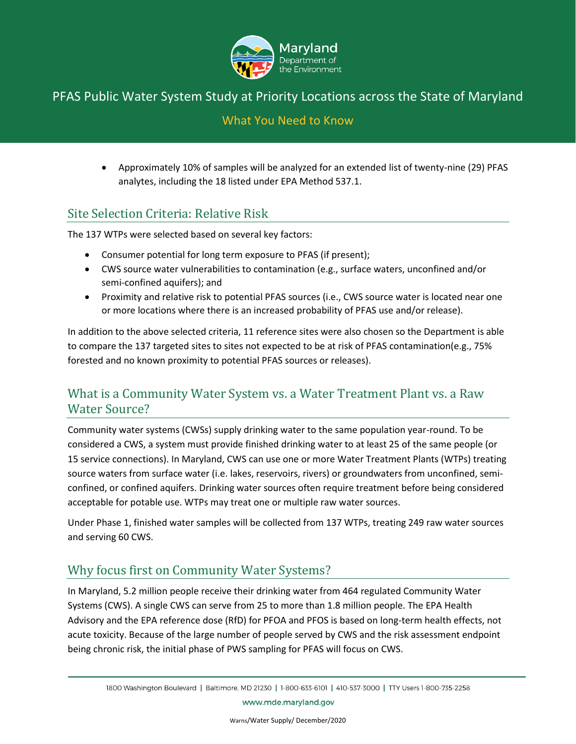

### What You Need to Know

• Approximately 10% of samples will be analyzed for an extended list of twenty-nine (29) PFAS analytes, including the 18 listed under EPA Method 537.1.

# Site Selection Criteria: Relative Risk

The 137 WTPs were selected based on several key factors:

- Consumer potential for long term exposure to PFAS (if present);
- CWS source water vulnerabilities to contamination (e.g., surface waters, unconfined and/or semi-confined aquifers); and
- Proximity and relative risk to potential PFAS sources (i.e., CWS source water is located near one or more locations where there is an increased probability of PFAS use and/or release).

In addition to the above selected criteria, 11 reference sites were also chosen so the Department is able to compare the 137 targeted sites to sites not expected to be at risk of PFAS contamination(e.g., 75% forested and no known proximity to potential PFAS sources or releases).

# What is a Community Water System vs. a Water Treatment Plant vs. a Raw Water Source?

Community water systems (CWSs) supply drinking water to the same population year-round. To be considered a CWS, a system must provide finished drinking water to at least 25 of the same people (or 15 service connections). In Maryland, CWS can use one or more Water Treatment Plants (WTPs) treating source waters from surface water (i.e. lakes, reservoirs, rivers) or groundwaters from unconfined, semiconfined, or confined aquifers. Drinking water sources often require treatment before being considered acceptable for potable use. WTPs may treat one or multiple raw water sources.

Under Phase 1, finished water samples will be collected from 137 WTPs, treating 249 raw water sources and serving 60 CWS.

# Why focus first on Community Water Systems?

In Maryland, 5.2 million people receive their drinking water from 464 regulated Community Water Systems (CWS). A single CWS can serve from 25 to more than 1.8 million people. The EPA Health Advisory and the EPA reference dose (RfD) for PFOA and PFOS is based on long-term health effects, not acute toxicity. Because of the large number of people served by CWS and the risk assessment endpoint being chronic risk, the initial phase of PWS sampling for PFAS will focus on CWS.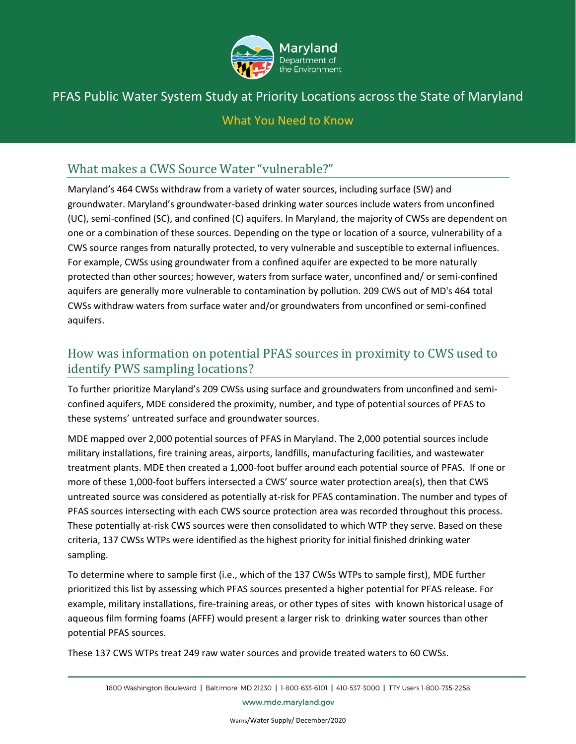

### What You Need to Know

# What makes a CWS Source Water "vulnerable?"

Maryland's 464 CWSs withdraw from a variety of water sources, including surface (SW) and groundwater. Maryland's groundwater-based drinking water sources include waters from unconfined (UC), semi-confined (SC), and confined (C) aquifers. In Maryland, the majority of CWSs are dependent on one or a combination of these sources. Depending on the type or location of a source, vulnerability of a CWS source ranges from naturally protected, to very vulnerable and susceptible to external influences. For example, CWSs using groundwater from a confined aquifer are expected to be more naturally protected than other sources; however, waters from surface water, unconfined and/ or semi-confined aquifers are generally more vulnerable to contamination by pollution. 209 CWS out of MD's 464 total CWSs withdraw waters from surface water and/or groundwaters from unconfined or semi-confined aquifers.

# How was information on potential PFAS sources in proximity to CWS used to identify PWS sampling locations?

To further prioritize Maryland's 209 CWSs using surface and groundwaters from unconfined and semiconfined aquifers, MDE considered the proximity, number, and type of potential sources of PFAS to these systems' untreated surface and groundwater sources.

MDE mapped over 2,000 potential sources of PFAS in Maryland. The 2,000 potential sources include military installations, fire training areas, airports, landfills, manufacturing facilities, and wastewater treatment plants. MDE then created a 1,000-foot buffer around each potential source of PFAS. If one or more of these 1,000-foot buffers intersected a CWS' source water protection area(s), then that CWS untreated source was considered as potentially at-risk for PFAS contamination. The number and types of PFAS sources intersecting with each CWS source protection area was recorded throughout this process. These potentially at-risk CWS sources were then consolidated to which WTP they serve. Based on these criteria, 137 CWSs WTPs were identified as the highest priority for initial finished drinking water sampling.

To determine where to sample first (i.e., which of the 137 CWSs WTPs to sample first), MDE further prioritized this list by assessing which PFAS sources presented a higher potential for PFAS release. For example, military installations, fire-training areas, or other types of sites with known historical usage of aqueous film forming foams (AFFF) would present a larger risk to drinking water sources than other potential PFAS sources.

These 137 CWS WTPs treat 249 raw water sources and provide treated waters to 60 CWSs.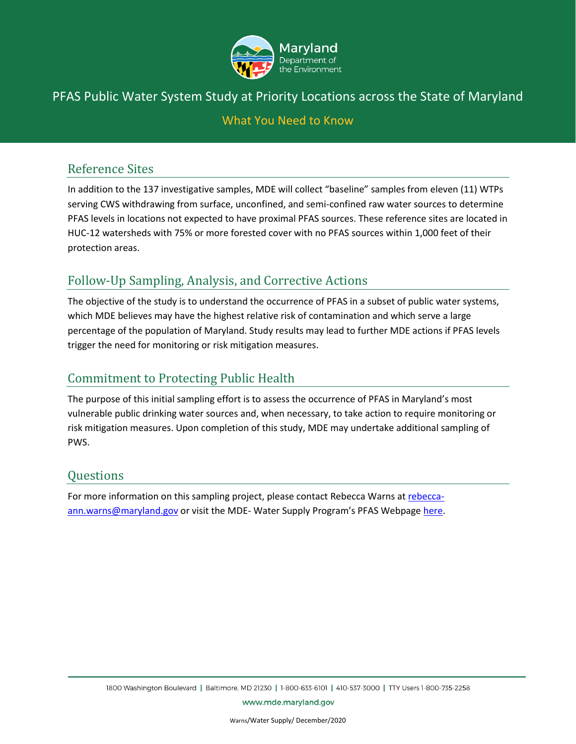

# What You Need to Know

### Reference Sites

In addition to the 137 investigative samples, MDE will collect "baseline" samples from eleven (11) WTPs serving CWS withdrawing from surface, unconfined, and semi-confined raw water sources to determine PFAS levels in locations not expected to have proximal PFAS sources. These reference sites are located in HUC-12 watersheds with 75% or more forested cover with no PFAS sources within 1,000 feet of their protection areas.

# Follow-Up Sampling, Analysis, and Corrective Actions

The objective of the study is to understand the occurrence of PFAS in a subset of public water systems, which MDE believes may have the highest relative risk of contamination and which serve a large percentage of the population of Maryland. Study results may lead to further MDE actions if PFAS levels trigger the need for monitoring or risk mitigation measures.

### Commitment to Protecting Public Health

The purpose of this initial sampling effort is to assess the occurrence of PFAS in Maryland's most vulnerable public drinking water sources and, when necessary, to take action to require monitoring or risk mitigation measures. Upon completion of this study, MDE may undertake additional sampling of PWS.

### Questions

For more information on this sampling project, please contact Rebecca Warns a[t rebecca](mailto:rebecca-ann.warns@maryland.gov)[ann.warns@maryland.gov](mailto:rebecca-ann.warns@maryland.gov) or visit the MDE-Water Supply Program's PFAS Webpage [here.](https://mde.maryland.gov/programs/Water/water_supply/Pages/PFAS_Home.aspx)

www.mde.maryland.gov